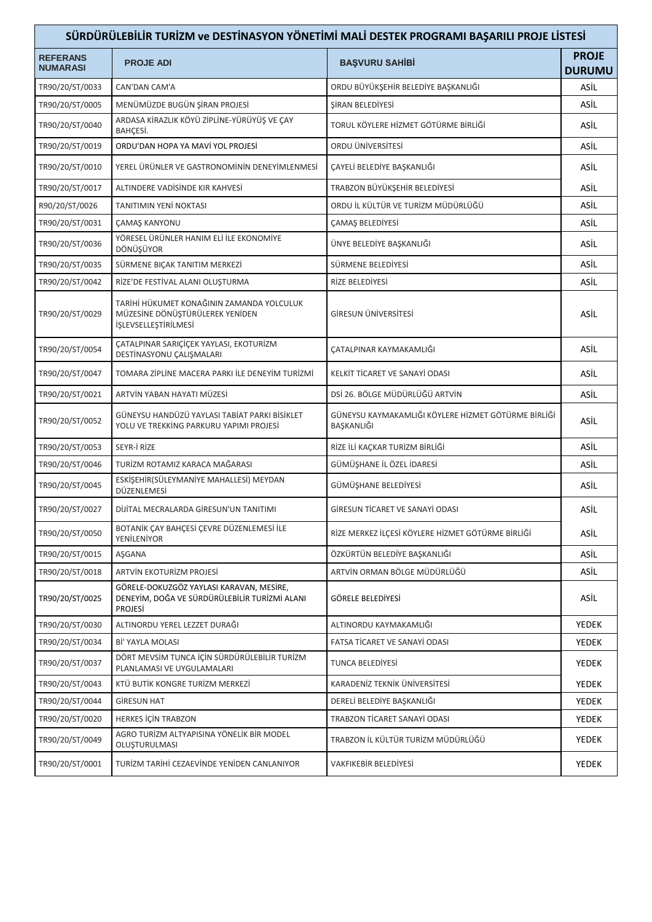| SÜRDÜRÜLEBİLİR TURİZM ve DESTİNASYON YÖNETİMİ MALİ DESTEK PROGRAMI BAŞARILI PROJE LİSTESİ |                                                                                                             |                                                                   |                               |  |
|-------------------------------------------------------------------------------------------|-------------------------------------------------------------------------------------------------------------|-------------------------------------------------------------------|-------------------------------|--|
| <b>REFERANS</b><br><b>NUMARASI</b>                                                        | <b>PROJE ADI</b>                                                                                            | <b>BAŞVURU SAHİBİ</b>                                             | <b>PROJE</b><br><b>DURUMU</b> |  |
| TR90/20/ST/0033                                                                           | CAN'DAN CAM'A                                                                                               | ORDU BÜYÜKŞEHİR BELEDİYE BAŞKANLIĞI                               | ASİL                          |  |
| TR90/20/ST/0005                                                                           | MENÜMÜZDE BUGÜN ŞİRAN PROJESİ                                                                               | ŞİRAN BELEDİYESİ                                                  | ASİL                          |  |
| TR90/20/ST/0040                                                                           | ARDASA KİRAZLIK KÖYÜ ZİPLİNE-YÜRÜYÜŞ VE ÇAY<br>BAHÇESİ.                                                     | TORUL KÖYLERE HİZMET GÖTÜRME BİRLİĞİ                              | ASİL                          |  |
| TR90/20/ST/0019                                                                           | ORDU'DAN HOPA YA MAVİ YOL PROJESİ                                                                           | ORDU ÜNİVERSİTESİ                                                 | ASİL                          |  |
| TR90/20/ST/0010                                                                           | YEREL ÜRÜNLER VE GASTRONOMİNİN DENEYİMLENMESİ                                                               | CAYELİ BELEDİYE BAŞKANLIĞI                                        | ASİL                          |  |
| TR90/20/ST/0017                                                                           | ALTINDERE VADISINDE KIR KAHVESİ                                                                             | TRABZON BÜYÜKŞEHİR BELEDİYESİ                                     | ASİL                          |  |
| R90/20/ST/0026                                                                            | <b>TANITIMIN YENİ NOKTASI</b>                                                                               | ORDU İL KÜLTÜR VE TURİZM MÜDÜRLÜĞÜ                                | ASİL                          |  |
| TR90/20/ST/0031                                                                           | <b>ÇAMAŞ KANYONU</b>                                                                                        | <b>ÇAMAŞ BELEDİYESİ</b>                                           | ASİL                          |  |
| TR90/20/ST/0036                                                                           | YÖRESEL ÜRÜNLER HANIM ELİ İLE EKONOMİYE<br>DÖNÜŞÜYOR                                                        | ÜNYE BELEDİYE BAŞKANLIĞI                                          | ASİL                          |  |
| TR90/20/ST/0035                                                                           | SÜRMENE BIÇAK TANITIM MERKEZİ                                                                               | SÜRMENE BELEDİYESİ                                                | ASİL                          |  |
| TR90/20/ST/0042                                                                           | RİZE'DE FESTİVAL ALANI OLUŞTURMA                                                                            | RİZE BELEDİYESİ                                                   | ASİL                          |  |
| TR90/20/ST/0029                                                                           | TARİHİ HÜKUMET KONAĞININ ZAMANDA YOLCULUK<br>MÜZESİNE DÖNÜŞTÜRÜLEREK YENİDEN<br>İŞLEVSELLEŞTİRİLMESİ        | GİRESUN ÜNİVERSİTESİ                                              | ASİL                          |  |
| TR90/20/ST/0054                                                                           | ÇATALPINAR SARIÇİÇEK YAYLASI, EKOTURİZM<br>DESTİNASYONU ÇALIŞMALARI                                         | ÇATALPINAR KAYMAKAMLIĞI                                           | ASİL                          |  |
| TR90/20/ST/0047                                                                           | TOMARA ZİPLİNE MACERA PARKI İLE DENEYİM TURİZMİ                                                             | KELKİT TİCARET VE SANAYİ ODASI                                    | ASİL                          |  |
| TR90/20/ST/0021                                                                           | ARTVİN YABAN HAYATI MÜZESİ                                                                                  | DSİ 26. BÖLGE MÜDÜRLÜĞÜ ARTVİN                                    | ASİL                          |  |
| TR90/20/ST/0052                                                                           | GÜNEYSU HANDÜZÜ YAYLASI TABİAT PARKI BİSİKLET<br>YOLU VE TREKKING PARKURU YAPIMI PROJESI                    | GÜNEYSU KAYMAKAMLIĞI KÖYLERE HİZMET GÖTÜRME BİRLİĞİ<br>BAŞKANLIĞI | ASİL                          |  |
| TR90/20/ST/0053                                                                           | SEYR-İ RİZE                                                                                                 | RİZE İLİ KAÇKAR TURİZM BİRLİĞİ                                    | ASİL                          |  |
| TR90/20/ST/0046                                                                           | TURİZM ROTAMIZ KARACA MAĞARASI                                                                              | GÜMÜŞHANE İL ÖZEL İDARESİ                                         | ASİL                          |  |
| TR90/20/ST/0045                                                                           | ESKİŞEHİR(SÜLEYMANİYE MAHALLESİ) MEYDAN<br>DÜZENLEMESİ                                                      | GÜMÜŞHANE BELEDİYESİ                                              | ASİL.                         |  |
| TR90/20/ST/0027                                                                           | DİJİTAL MECRALARDA GİRESUN'UN TANITIMI                                                                      | GIRESUN TICARET VE SANAYI ODASI                                   | ASİL                          |  |
| TR90/20/ST/0050                                                                           | BOTANİK ÇAY BAHÇESİ ÇEVRE DÜZENLEMESİ İLE<br>YENİLENİYOR                                                    | RİZE MERKEZ İLÇESİ KÖYLERE HİZMET GÖTÜRME BİRLİĞİ                 | ASİL                          |  |
| TR90/20/ST/0015                                                                           | AŞGANA                                                                                                      | ÖZKÜRTÜN BELEDİYE BAŞKANLIĞI                                      | ASİL                          |  |
| TR90/20/ST/0018                                                                           | <b>ARTVİN EKOTURİZM PROJESİ</b>                                                                             | ARTVİN ORMAN BÖLGE MÜDÜRLÜĞÜ                                      | ASİL                          |  |
| TR90/20/ST/0025                                                                           | GÖRELE-DOKUZGÖZ YAYLASI KARAVAN, MESİRE,<br>DENEYİM, DOĞA VE SÜRDÜRÜLEBİLİR TURİZMİ ALANI<br><b>PROJESI</b> | GÖRELE BELEDİYESİ                                                 | ASİL                          |  |
| TR90/20/ST/0030                                                                           | ALTINORDU YEREL LEZZET DURAĞI                                                                               | ALTINORDU KAYMAKAMLIĞI                                            | YEDEK                         |  |
| TR90/20/ST/0034                                                                           | Bİ' YAYLA MOLASI                                                                                            | FATSA TİCARET VE SANAYİ ODASI                                     | YEDEK                         |  |
| TR90/20/ST/0037                                                                           | DÖRT MEVSİM TUNCA İÇİN SÜRDÜRÜLEBİLİR TURİZM<br>PLANLAMASI VE UYGULAMALARI                                  | TUNCA BELEDIYESI                                                  | YEDEK                         |  |
| TR90/20/ST/0043                                                                           | KTÜ BUTİK KONGRE TURİZM MERKEZİ                                                                             | KARADENİZ TEKNİK ÜNİVERSİTESİ                                     | YEDEK                         |  |
| TR90/20/ST/0044                                                                           | <b>GIRESUN HAT</b>                                                                                          | DERELİ BELEDİYE BAŞKANLIĞI                                        | YEDEK                         |  |
| TR90/20/ST/0020                                                                           | <b>HERKES İÇİN TRABZON</b>                                                                                  | TRABZON TİCARET SANAYİ ODASI                                      | YEDEK                         |  |
| TR90/20/ST/0049                                                                           | AGRO TURİZM ALTYAPISINA YÖNELİK BİR MODEL<br>OLUŞTURULMASI                                                  | TRABZON İL KÜLTÜR TURİZM MÜDÜRLÜĞÜ                                | YEDEK                         |  |
| TR90/20/ST/0001                                                                           | TURİZM TARİHİ CEZAEVİNDE YENİDEN CANLANIYOR                                                                 | VAKFIKEBİR BELEDİYESİ                                             | YEDEK                         |  |